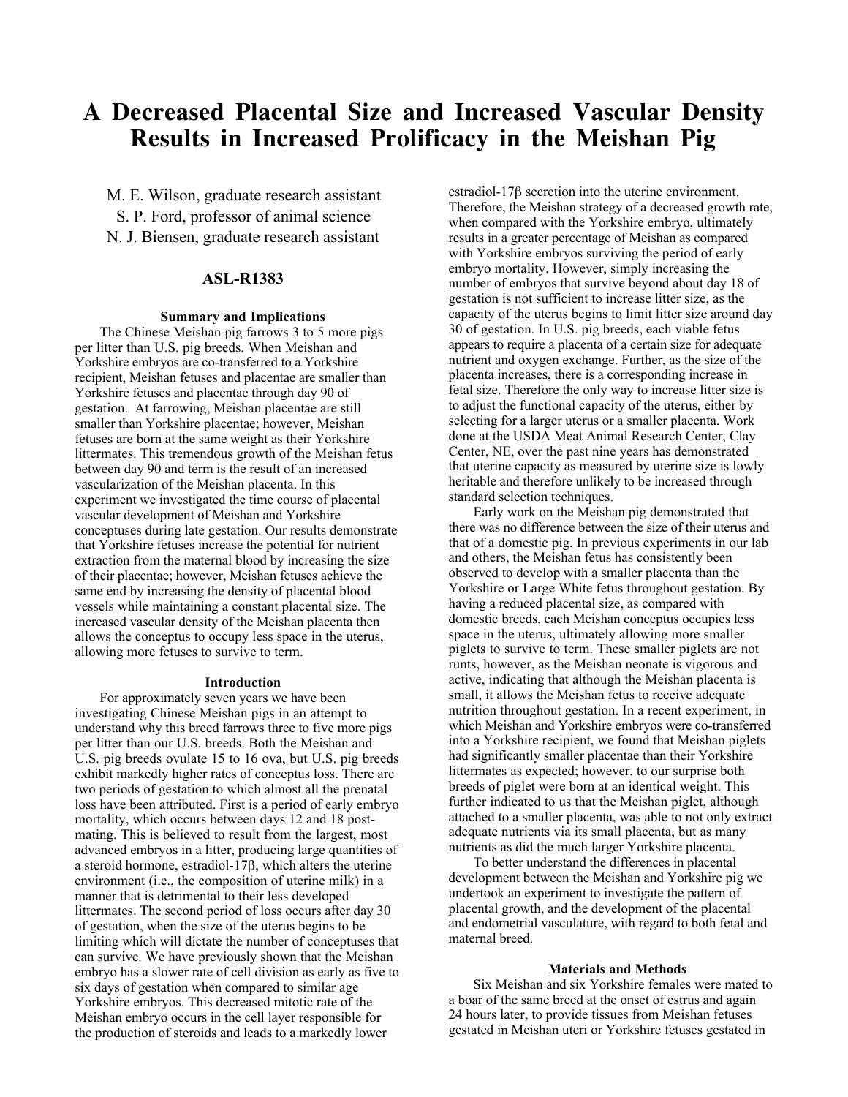# **A Decreased Placental Size and Increased Vascular Density Results in Increased Prolificacy in the Meishan Pig**

M. E. Wilson, graduate research assistant S. P. Ford, professor of animal science N. J. Biensen, graduate research assistant

## **ASL-R1383**

### **Summary and Implications**

The Chinese Meishan pig farrows 3 to 5 more pigs per litter than U.S. pig breeds. When Meishan and Yorkshire embryos are co-transferred to a Yorkshire recipient, Meishan fetuses and placentae are smaller than Yorkshire fetuses and placentae through day 90 of gestation. At farrowing, Meishan placentae are still smaller than Yorkshire placentae; however, Meishan fetuses are born at the same weight as their Yorkshire littermates. This tremendous growth of the Meishan fetus between day 90 and term is the result of an increased vascularization of the Meishan placenta. In this experiment we investigated the time course of placental vascular development of Meishan and Yorkshire conceptuses during late gestation. Our results demonstrate that Yorkshire fetuses increase the potential for nutrient extraction from the maternal blood by increasing the size of their placentae; however, Meishan fetuses achieve the same end by increasing the density of placental blood vessels while maintaining a constant placental size. The increased vascular density of the Meishan placenta then allows the conceptus to occupy less space in the uterus, allowing more fetuses to survive to term.

#### **Introduction**

For approximately seven years we have been investigating Chinese Meishan pigs in an attempt to understand why this breed farrows three to five more pigs per litter than our U.S. breeds. Both the Meishan and U.S. pig breeds ovulate 15 to 16 ova, but U.S. pig breeds exhibit markedly higher rates of conceptus loss. There are two periods of gestation to which almost all the prenatal loss have been attributed. First is a period of early embryo mortality, which occurs between days 12 and 18 postmating. This is believed to result from the largest, most advanced embryos in a litter, producing large quantities of a steroid hormone, estradiol-17 $\beta$ , which alters the uterine environment (i.e., the composition of uterine milk) in a manner that is detrimental to their less developed littermates. The second period of loss occurs after day 30 of gestation, when the size of the uterus begins to be limiting which will dictate the number of conceptuses that can survive. We have previously shown that the Meishan embryo has a slower rate of cell division as early as five to six days of gestation when compared to similar age Yorkshire embryos. This decreased mitotic rate of the Meishan embryo occurs in the cell layer responsible for the production of steroids and leads to a markedly lower

estradiol-17 $\beta$  secretion into the uterine environment. Therefore, the Meishan strategy of a decreased growth rate, when compared with the Yorkshire embryo, ultimately results in a greater percentage of Meishan as compared with Yorkshire embryos surviving the period of early embryo mortality. However, simply increasing the number of embryos that survive beyond about day 18 of gestation is not sufficient to increase litter size, as the capacity of the uterus begins to limit litter size around day 30 of gestation. In U.S. pig breeds, each viable fetus appears to require a placenta of a certain size for adequate nutrient and oxygen exchange. Further, as the size of the placenta increases, there is a corresponding increase in fetal size. Therefore the only way to increase litter size is to adjust the functional capacity of the uterus, either by selecting for a larger uterus or a smaller placenta. Work done at the USDA Meat Animal Research Center, Clay Center, NE, over the past nine years has demonstrated that uterine capacity as measured by uterine size is lowly heritable and therefore unlikely to be increased through standard selection techniques.

Early work on the Meishan pig demonstrated that there was no difference between the size of their uterus and that of a domestic pig. In previous experiments in our lab and others, the Meishan fetus has consistently been observed to develop with a smaller placenta than the Yorkshire or Large White fetus throughout gestation. By having a reduced placental size, as compared with domestic breeds, each Meishan conceptus occupies less space in the uterus, ultimately allowing more smaller piglets to survive to term. These smaller piglets are not runts, however, as the Meishan neonate is vigorous and active, indicating that although the Meishan placenta is small, it allows the Meishan fetus to receive adequate nutrition throughout gestation. In a recent experiment, in which Meishan and Yorkshire embryos were co-transferred into a Yorkshire recipient, we found that Meishan piglets had significantly smaller placentae than their Yorkshire littermates as expected; however, to our surprise both breeds of piglet were born at an identical weight. This further indicated to us that the Meishan piglet, although attached to a smaller placenta, was able to not only extract adequate nutrients via its small placenta, but as many nutrients as did the much larger Yorkshire placenta.

To better understand the differences in placental development between the Meishan and Yorkshire pig we undertook an experiment to investigate the pattern of placental growth, and the development of the placental and endometrial vasculature, with regard to both fetal and maternal breed.

#### **Materials and Methods**

Six Meishan and six Yorkshire females were mated to a boar of the same breed at the onset of estrus and again 24 hours later, to provide tissues from Meishan fetuses gestated in Meishan uteri or Yorkshire fetuses gestated in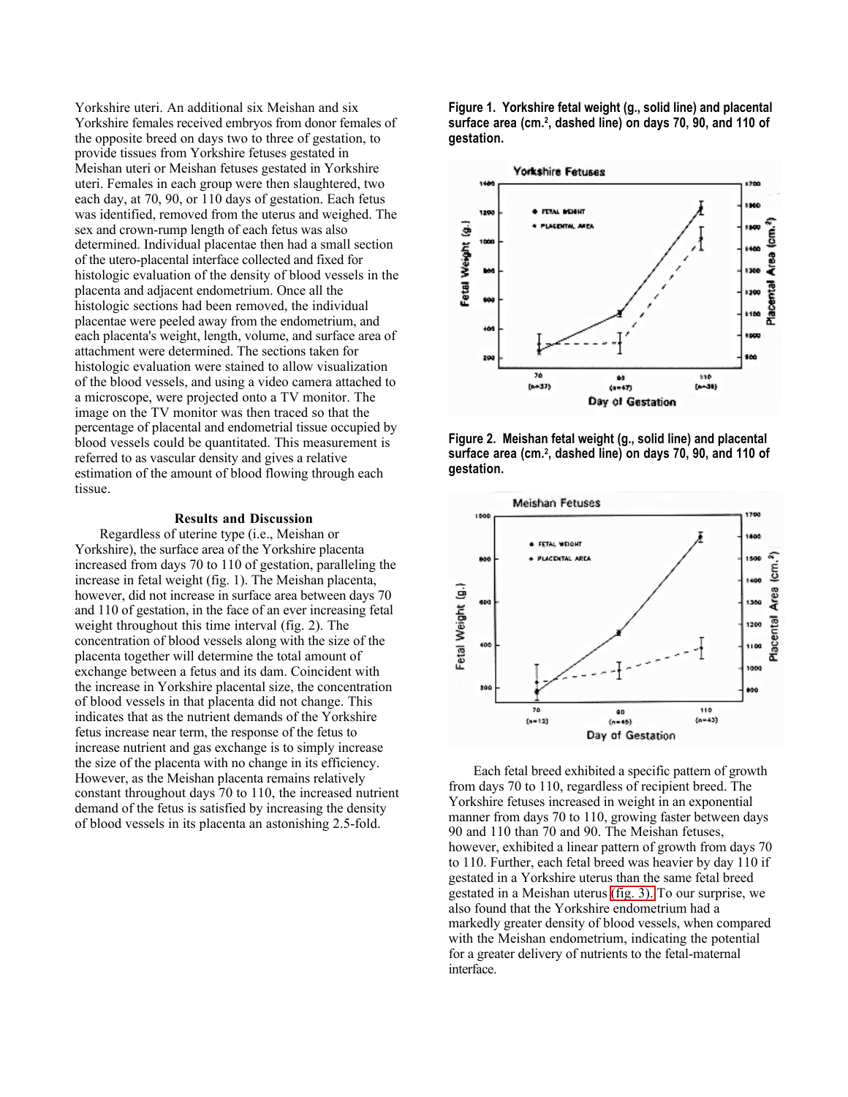Yorkshire uteri. An additional six Meishan and six Yorkshire females received embryos from donor females of the opposite breed on days two to three of gestation, to provide tissues from Yorkshire fetuses gestated in Meishan uteri or Meishan fetuses gestated in Yorkshire uteri. Females in each group were then slaughtered, two each day, at 70, 90, or 110 days of gestation. Each fetus was identified, removed from the uterus and weighed. The sex and crown-rump length of each fetus was also determined. Individual placentae then had a small section of the utero-placental interface collected and fixed for histologic evaluation of the density of blood vessels in the placenta and adjacent endometrium. Once all the histologic sections had been removed, the individual placentae were peeled away from the endometrium, and each placenta's weight, length, volume, and surface area of attachment were determined. The sections taken for histologic evaluation were stained to allow visualization of the blood vessels, and using a video camera attached to a microscope, were projected onto a TV monitor. The image on the TV monitor was then traced so that the percentage of placental and endometrial tissue occupied by blood vessels could be quantitated. This measurement is referred to as vascular density and gives a relative estimation of the amount of blood flowing through each tissue.

#### **Results and Discussion**

Regardless of uterine type (i.e., Meishan or Yorkshire), the surface area of the Yorkshire placenta increased from days 70 to 110 of gestation, paralleling the increase in fetal weight (fig. 1). The Meishan placenta, however, did not increase in surface area between days 70 and 110 of gestation, in the face of an ever increasing fetal weight throughout this time interval (fig. 2). The concentration of blood vessels along with the size of the placenta together will determine the total amount of exchange between a fetus and its dam. Coincident with the increase in Yorkshire placental size, the concentration of blood vessels in that placenta did not change. This indicates that as the nutrient demands of the Yorkshire fetus increase near term, the response of the fetus to increase nutrient and gas exchange is to simply increase the size of the placenta with no change in its efficiency. However, as the Meishan placenta remains relatively constant throughout days 70 to 110, the increased nutrient demand of the fetus is satisfied by increasing the density of blood vessels in its placenta an astonishing 2.5-fold.

**Figure 1. Yorkshire fetal weight (g., solid line) and placental surface area (cm.2 , dashed line) on days 70, 90, and 110 of gestation.**



**Figure 2. Meishan fetal weight (g., solid line) and placental surface area (cm.2 , dashed line) on days 70, 90, and 110 of gestation.**



Each fetal breed exhibited a specific pattern of growth from days 70 to 110, regardless of recipient breed. The Yorkshire fetuses increased in weight in an exponential manner from days 70 to 110, growing faster between days 90 and 110 than 70 and 90. The Meishan fetuses, however, exhibited a linear pattern of growth from days 70 to 110. Further, each fetal breed was heavier by day 110 if gestated in a Yorkshire uterus than the same fetal breed gestated in a Meishan uterus [\(fig. 3\).](#page-2-0) To our surprise, we also found that the Yorkshire endometrium had a markedly greater density of blood vessels, when compared with the Meishan endometrium, indicating the potential for a greater delivery of nutrients to the fetal-maternal interface.